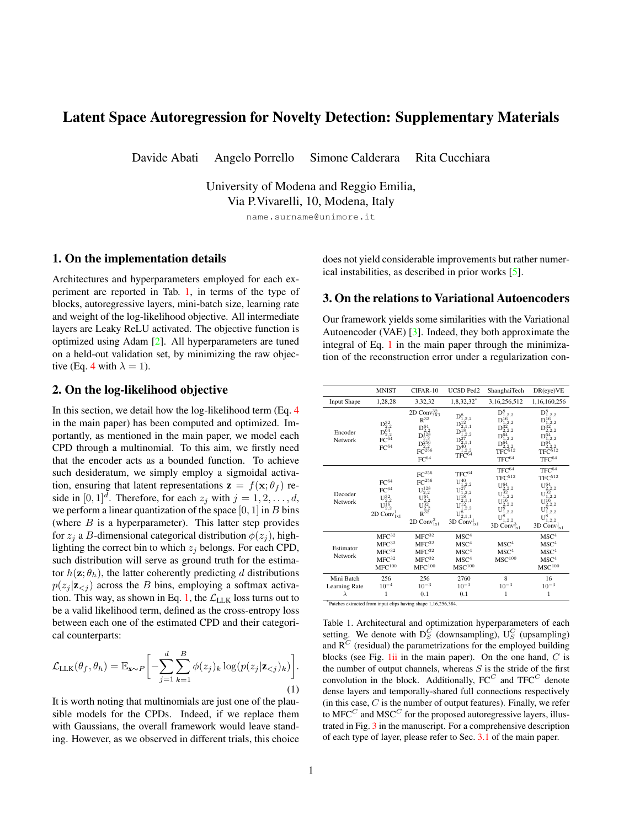# <span id="page-0-4"></span><span id="page-0-2"></span>Latent Space Autoregression for Novelty Detection: Supplementary Materials

Davide Abati Angelo Porrello Simone Calderara Rita Cucchiara

University of Modena and Reggio Emilia, Via P.Vivarelli, 10, Modena, Italy

name.surname@unimore.it

#### 1. On the implementation details

Architectures and hyperparameters employed for each experiment are reported in Tab. [1,](#page-0-0) in terms of the type of blocks, autoregressive layers, mini-batch size, learning rate and weight of the log-likelihood objective. All intermediate layers are Leaky ReLU activated. The objective function is optimized using Adam [\[2\]](#page-3-0). All hyperparameters are tuned on a held-out validation set, by minimizing the raw objective (Eq. 4 with  $\lambda = 1$ ).

## 2. On the log-likelihood objective

In this section, we detail how the log-likelihood term (Eq. 4 in the main paper) has been computed and optimized. Importantly, as mentioned in the main paper, we model each CPD through a multinomial. To this aim, we firstly need that the encoder acts as a bounded function. To achieve such desideratum, we simply employ a sigmoidal activation, ensuring that latent representations  $\mathbf{z} = f(\mathbf{x}; \theta_f)$  reside in  $[0,1]^d$ . Therefore, for each  $z_j$  with  $j = 1, 2, \ldots, d$ , we perform a linear quantization of the space  $[0, 1]$  in B bins (where  $B$  is a hyperparameter). This latter step provides for  $z_i$  a B-dimensional categorical distribution  $\phi(z_i)$ , highlighting the correct bin to which  $z_i$  belongs. For each CPD, such distribution will serve as ground truth for the estimator  $h(\mathbf{z}; \theta_h)$ , the latter coherently predicting d distributions  $p(z_j | z_{\le j})$  across the B bins, employing a softmax activa-tion. This way, as shown in Eq. [1,](#page-0-1) the  $\mathcal{L}_{\text{LLK}}$  loss turns out to be a valid likelihood term, defined as the cross-entropy loss between each one of the estimated CPD and their categorical counterparts:

<span id="page-0-1"></span>
$$
\mathcal{L}_{\text{LLK}}(\theta_f, \theta_h) = \mathbb{E}_{\mathbf{x} \sim P} \bigg[ -\sum_{j=1}^d \sum_{k=1}^B \phi(z_j)_k \log(p(z_j | \mathbf{z}_{< j})_k) \bigg]. \tag{1}
$$

It is worth noting that multinomials are just one of the plausible models for the CPDs. Indeed, if we replace them with Gaussians, the overall framework would leave standing. However, as we observed in different trials, this choice does not yield considerable improvements but rather numerical instabilities, as described in prior works [\[5\]](#page-3-1).

## <span id="page-0-3"></span>3. On the relations to Variational Autoencoders

Our framework yields some similarities with the Variational Autoencoder (VAE) [\[3\]](#page-3-2). Indeed, they both approximate the integral of Eq. 1 in the main paper through the minimization of the reconstruction error under a regularization con-

|                                          | <b>MNIST</b>                                                                                                              | CIFAR-10                                                                                                                                                                                                                | <b>UCSD Ped2</b>                                                                                                                        | ShanghaiTech                                                                                                                                                                                    | DR(eye)VE                                                                                                                                                                          |  |
|------------------------------------------|---------------------------------------------------------------------------------------------------------------------------|-------------------------------------------------------------------------------------------------------------------------------------------------------------------------------------------------------------------------|-----------------------------------------------------------------------------------------------------------------------------------------|-------------------------------------------------------------------------------------------------------------------------------------------------------------------------------------------------|------------------------------------------------------------------------------------------------------------------------------------------------------------------------------------|--|
| <b>Input Shape</b><br>1,28,28            |                                                                                                                           | 3,32,32                                                                                                                                                                                                                 | 1,8,32,32*                                                                                                                              | 3,16,256,512                                                                                                                                                                                    | 1,16,160,256                                                                                                                                                                       |  |
| Encoder<br>Network                       | $D_{2,2}^{32}$<br>$D_{2,2}^{64}$<br>FC $^{64}$<br>$\rm FC^{64}$                                                           | 2D Conv ${}^{32}_{3X3}$<br>$R^{32}$<br>${\rm D}^{64}_{2,2} \\ {\rm D}^{128}_{2,2}$<br>${\rm D}_{2,2}^{256}$<br>$\mathrm{FC}^{\check{\boldsymbol{2}}\check{\boldsymbol{5}}\boldsymbol{6}}$<br>$FC^{64}$                  | $D_{1,2,2}^8$<br>$D_{2,1,1}^{12}$<br>$D^{18}_{1,2,2}$<br>$D^{27}_{2,1,1}$<br>${\rm D}^{40}_{1.2.2}$<br>$\rm TFC^{64}$                   | $D_{1,2,2}^{8}$<br>${\rm D}^{16}_{1,2,2}$<br>$D_{2,2,2}^{32}$<br>$D_{1,2,2}^{\bar{6}4}$<br>$D^{64}_{2,2,2}$<br>TFC <sup>512</sup><br>$TFC^{64}$                                                 | $D_{1.2.2}^{8}$<br>$D^{16}_{1,2,2}$<br>$D^{32}_{2,2,2}$<br>$D_{1,2,2}^{64}$<br>$D_{2,2,2}^{64}$<br>$TFC^{512}$<br>$\mathrm{TFC}^{64}$                                              |  |
| Decoder<br>Network                       | $\rm FC^{64}$<br>$\rm FC^{64}$<br>$U_{2,2}^{32}$<br>$U_{2,2}^{\tilde{1}\tilde{6}}$<br>2D Conv <sub>1x1</sub> <sup>1</sup> | ${\rm FC^{256}}$<br>FC <sup>256</sup><br>${\rm U}_{2,2}^{128}$<br>$\mathrm{U}^{\bar{6}\bar{4}}_{2,2}\mathrm{U}^{\bar{3}\bar{2}}_{2,2}\mathrm{I}^{\bar{3}\bar{2}}_{3\bar{2}}$ R $^{\bar{3}\bar{2}}$<br>2D $Conv_{1x1}^3$ | $TFC^{64}$<br>$U^{40}_{1,2,2}$<br>${\rm U}_{1,2,2}^{27}$<br>$U^{18}_{2,1,1}$<br>$U^{12}_{1,2,2}$<br>$U^8_{2,1,1}$<br>3D Conv $_{1x1}^1$ | $TFC^{64}$<br>$\mathrm{TFC}^{512}$<br>${\rm U}_{2,2,2}^{64}$<br>$U^{32}_{1,2,2}$<br>$U_{2,2,2}^{16}$<br>$\mathrm{U}^{\mathbf{8}^{12,2}_{1,2,2}}_{0,2,2}$<br>3D Conv <sub>1x1</sub> <sup>3</sup> | $\mathrm{TFC}^{64}$<br>$\mathrm{TFC}^{512}$<br>${\rm U}_{2,2,2}^{64}$<br>$U_{1,2,2}^{32}$<br>$U_{2,2,2}^{16}$<br>$U^{\tilde{8}^{1,2,2}}_{1,2,2}\ U^8_{1,2,2}$<br>3D $Conv_{1x1}^1$ |  |
| Estimator<br>Network                     | ${\rm MFC^{32}}$<br>${\rm MFC^{32}}$<br>$MFC^{32}$<br>${\rm MFC^{32}}$<br>${\rm MFC^{100}}$                               | ${\rm MFC^{32}}$<br>MFC <sup>32</sup><br>MFC <sup>32</sup><br>${\rm MFC^{32}}$<br>${\rm MFC^{100}}$                                                                                                                     | MSC <sup>4</sup><br>MSC <sup>4</sup><br>MSC <sup>4</sup><br>MSC <sup>4</sup><br>${\rm MSC}^{100}$                                       | MSC <sup>4</sup><br>MSC <sup>4</sup><br>$MSC^{100}$                                                                                                                                             | ${\rm MSC}^4$<br>${\rm MSC}^4$<br>MSC <sup>4</sup><br>MSC <sup>4</sup><br>${\rm MSC}^{100}$                                                                                        |  |
| Mini Batch<br>Learning Rate<br>$\lambda$ | 256<br>256<br>$10^{-4}$<br>$10^{-3}$<br>1<br>0.1                                                                          |                                                                                                                                                                                                                         | 2760<br>$10^{-3}$<br>0.1                                                                                                                | 8<br>$10^{-3}$<br>1                                                                                                                                                                             | 16<br>$10^{-3}$<br>1                                                                                                                                                               |  |

<span id="page-0-0"></span>\*Patches extracted from input clips having shape 1,16,256,384.

Table 1. Architectural and optimization hyperparameters of each setting. We denote with  $D_S^C$  (downsampling),  $U_S^C$  (upsampling) and  $R^C$  (residual) the parametrizations for the employed building blocks (see Fig.  $1ii$  in the main paper). On the one hand,  $C$  is the number of output channels, whereas  $S$  is the stride of the first convolution in the block. Additionally,  $\mathbf{F}\mathbf{C}^C$  and  $\mathbf{T}\mathbf{F}\mathbf{C}^C$  denote dense layers and temporally-shared full connections respectively (in this case,  $C$  is the number of output features). Finally, we refer to  $MFC<sup>C</sup>$  and  $MSC<sup>C</sup>$  for the proposed autoregressive layers, illustrated in Fig. 3 in the manuscript. For a comprehensive description of each type of layer, please refer to Sec. 3.1 of the main paper.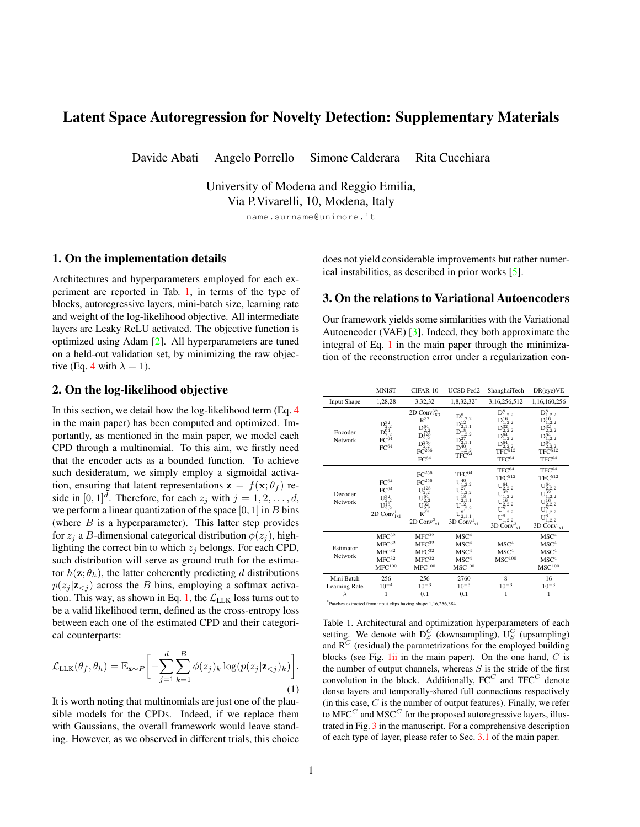<span id="page-1-2"></span>

<span id="page-1-0"></span>Figure 1. For all CIFAR-10 classes (organized in different rows), we report images sampled from VAEs (left) and the proposed autoencoders with autoregressive priors. As can be seen, our samples visually exhibit fine-grained details and sharpness, differently from the heavily blurred ones coming from VAEs. Finally, the over-regularization arising from VAE is confirmed when looking at FID scores (at the extremes of the figure, the lower, the better).

straint involving a prior distribution on latent vectors. However, it is worth noting several fundamental distinctions. Firstly, our model does not provide an explicit strategy to sample from the posterior distribution, thus resulting in a deterministic mapping from the input to the hidden representation. Secondly, while VAE specifies an explicit and adamant form for modeling the prior  $p(\mathbf{z})$ , in our formulation its landscape is free from any assumption and directly learnable as a result of the estimator's autoregressive nature. On this point, our proposal leads to two beneficial aspects. First, as the VAE forces the codes' distribution to match the prior, their differential entropy converges to be the same as the prior. This behavior results in approximately stationary entropies across different settings (appreciable in Fig. [2](#page-0-2) in the main paper, where we discuss the intuition behind the entropy minimization within a novelty detection task). Secondly, the employment of a too simplistic prior may lead to over-regularized representations, whereas our proposal is less prone to such risk. Empirical evidence of such behavior can also be appreciated in Fig. [1,](#page-1-0) where we draw new samples from VAE and our model, both of which has been trained on CIFAR-10. All settings being equal, our hallucinations are visually much more realistic than the ones coming from VAEs, the latter leading to over-smooth shapes and lacking any details, as further confirmed by the substantial differences in Fréchet Inception Distance (FID) scores [[1\]](#page-3-3).

#### 4. On the dual nature of novelty

In this section, we stress how significant is the presence of both terms for obtaining a highly discriminative novelty score (NS, Eq. [9](#page-0-2) in the main paper): namely the reconstruction error (REC), modeling the memory capabilities, and the

|                  | LL K  | <b>REC</b> | <b>NS</b> |
|------------------|-------|------------|-----------|
| <b>MNIST</b>     | 0.926 | 0.949      | 0.975     |
| $CIFAR-10$       | 0.627 | 0.603      | 0.641     |
| <b>UCSD Ped2</b> | 0.933 | 0.909      | 0.954     |
| ShanghaiTech     | 0.695 | 0.726      | 0.725     |
| DR(eye)VE        | 0.917 | 0.863      | 0.926     |

<span id="page-1-1"></span>Table 2. For each setting, AUROC performances under three different novelty scores: i) the log-likelihood term (LLK), ii) the reconstruction term (REC), and iii) the proposed scheme accounting for both (NS).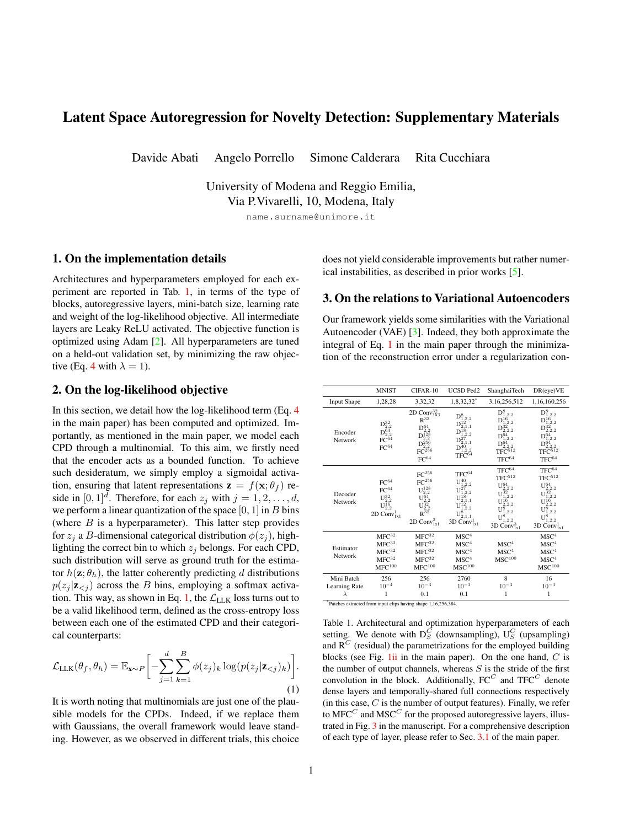<span id="page-2-2"></span>

<span id="page-2-0"></span>Figure 2. Sample training log-likelihood of a Bayesian Network modeling the distribution of latent codes produced by the encoder of our model trained on MNIST digits. When the BN structure resembles the autoregressive order imposed during training, a much higher likelihood is achieved. This behavior is consistent in all classes and supports the capability of the encoder to produce codes that respect a pre-imposed autoregressive structure.

log-likelihood term (LLK), capturing the surprisal inducted from latent representations. Aiming to reinforce this latter point, just briefly illustrated in Fig. [4](#page-0-2) of the manuscript, we report in Tab. [2](#page-1-1) performances - expressed in AUROC - delivered by different scoring strategies on each setting mentioned in the main paper. Except for ShanghaiTech, we systematically observe a reward in accounting for both aspects. Furthermore, for MNIST and CIFAR-10, we find particularly interesting the gap in performance arising from our reconstruction error w.r.t. the one arising from the denoising autoencoder (DAE) variants (0.942 and 0.590 for the two datasets respectively, as reported in Tab. [1](#page-0-2) of the main paper). In this respect, we gather new evidence supporting that surprisal minimization acts as a novelty-oriented regularizer for the overall architecture, as it improves the discriminative capability of the reconstruction (as already conjectured in Sec. [4.1](#page-0-2) of the main paper).

#### 5. On the causal structure of representations

We now investigate the capability of our encoder to produce representations that respect the autoregressive causal structure imposed by the LLK loss (mentioned in Sec. [3](#page-0-3) of the main paper). To this aim, we extract representations out of the ten models trained on MNIST digits and fit their distribution using a structured density estimator. Specifically, we employ Bayesian Networks (BNs) with different autoregressive structures. In this respect, each BN is mod-eled with Linear Gaussians [\[4\]](#page-3-4), s.t. each CPD  $p(z_i|Pa(z_i))$ with  $i = 1, 2, \ldots, d$  is given by:

$$
p(z_i|Pa(z_i)) = \mathcal{N}(z_i | w_0^{(i)} + \sum_{z_j \in Pa(z_i)} w_j^{(i)} z_j, \sigma_i^2), \quad (2)
$$

where each  $w_j^{(i)}$ ,  $\sigma_i^2$  are learnable parameters. We indicate with  $Pa(z_i)$  the parent variables of  $z_i$  in the BN. The previous equation holds for all nodes, except for the root one, which is modeled through a Gaussian distribution. Concerning the BN structure, we test:

- Autoregressive order: the BN structure follows the autoregressive order imposed during training, namely  $Pa(z_i) = \{z_j \mid j = 1, 2, \ldots, i-1\}$
- Random order: the BN structure follows a random autoregressive order.
- Inverse order: the BN structure follows an autoregressive order which is the inverse with respect to the one imposed during training, namely  $Pa(z_i) = \{z_i | j =$  $i+1, i+2, \ldots, d\}$

It is worth noting that, as the three structures exhibit the same number of edges and independent parameters, the difference in their fitting capabilities is only due to the causal order imposed over variables.

Fig. [2](#page-2-0) reports the sample training log-likelihood of all BN models. Remarkably, the autoregressive order delivers a better fit, supporting the capability of the encoder network to extract features with learned autoregressive properties. Moreover, to show that this result is not due to overfitting or other lurking behaviors, we report in Tab. [3](#page-3-5) log-likelihoods for training, validation and test set.

#### 6. On the entropy minimization

To provide an additional grasp about the role of the representation's entropy minimization, we focus on a single MNIST digit (class 7) and report in Fig. [3](#page-2-1) some randomly

| Loss weight      | Reconstructions |  |  |  |  |  |
|------------------|-----------------|--|--|--|--|--|
| $\lambda = 0.01$ |                 |  |  |  |  |  |
| $\lambda = 1$    |                 |  |  |  |  |  |
| $\lambda = 100$  |                 |  |  |  |  |  |

<span id="page-2-1"></span>Figure 3. MNIST reconstructions delivered by different values of  $\lambda$ , the latter controlling the impact of the differential entropy minimization.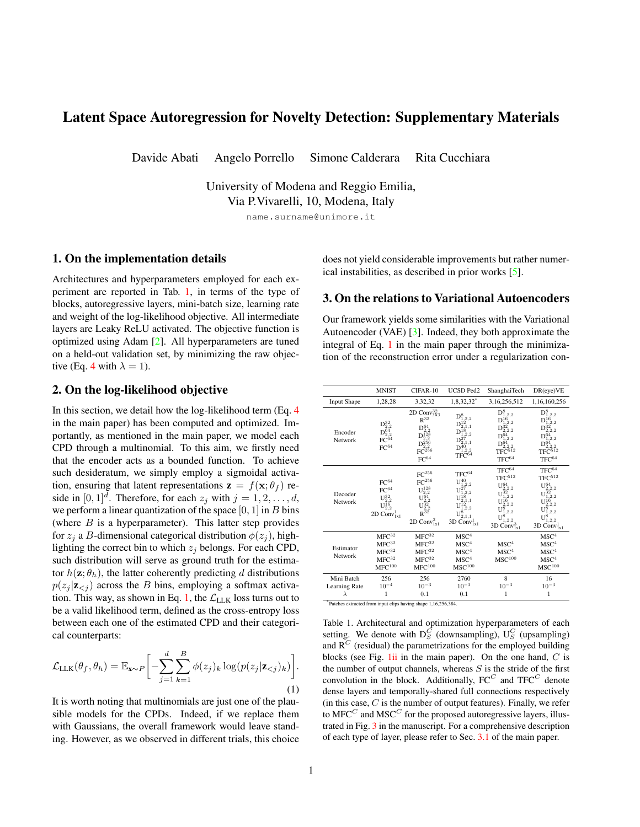|            |       | Classes   |           |                |           |           |           |              |           |           |           |
|------------|-------|-----------|-----------|----------------|-----------|-----------|-----------|--------------|-----------|-----------|-----------|
|            |       |           |           | $\mathfrak{D}$ | 3         | 4         | 5         | $\mathbf{b}$ |           | 8         | 9         |
| <b>ARG</b> | Train | $-201.60$ | $-161.60$ | $-171.43$      | $-172.73$ | $-174.17$ | $-186.48$ | $-158.22$    | $-162.37$ | $-171.65$ | $-154.11$ |
|            | Val   | $-200.96$ | $-160.38$ | $-170.10$      | $-172.29$ | $-173.85$ | $-185.25$ | $-157.22$    | $-162.20$ | $-171.42$ | $-154.02$ |
|            | Test  | $-200.89$ | $-159.73$ | $-169.64$      | $-170.75$ | $-172.40$ | $-184.27$ | $-157.74$    | $-161.65$ | $-170.10$ | $-152.70$ |
| <b>RDM</b> | Train | $-496.33$ | $-456.34$ | $-466.16$      | $-467.47$ | $-468.90$ | $-481.21$ | $-452.95$    | $-457.10$ | $-466.39$ | $-448.84$ |
|            | Val   | $-495.69$ | $-455.11$ | $-464.83$      | $-467.02$ | $-468.58$ | -479.98   | $-451.95$    | $-456.93$ | $-466.15$ | $-448.75$ |
|            | Test  | $-495.62$ | -454.47   | $-464.37$      | $-465.48$ | $-467.13$ | -479.00   | $-452.48$    | $-456.38$ | $-464.83$ | -447.43   |
| <b>INV</b> | Train | $-791.06$ | $-751.07$ | $-760.89$      | $-762.20$ | $-763.63$ | $-775.94$ | $-747.68$    | $-751.83$ | $-761.12$ | $-743.57$ |
|            | Val   | -790.42   | -749.84   | -759.56        | $-761.75$ | $-763.31$ | $-774.71$ | $-746.68$    | $-751.66$ | $-760.88$ | -743.48   |
|            | Test  | $-790.35$ | $-749.20$ | $-759.11$      | $-760.22$ | -761.86   | $-773.73$ | $-747.21$    | $-751.12$ | -759.56   | $-742.16$ |

<span id="page-3-5"></span>Table 3. Sample log-likelihood obtained by different BN structures when fitting MNIST representations. Each BN is trained on latent codes computed from the training set of a single class, following either the autoregression order (ARG), a random order (RDM) or the order inverse to autoregression (INV). We report the log-likelihood also on the validation and test set. For train-val-test split, see Sec [4.1](#page-0-2) of the paper. Only "normal" test samples are used in this evaluation.

sampled reconstructions from the training set. Such reconstructions are learned under three different regularization regimes, represented by different weights on the loglikelihood objective  $(\lambda, Eq. 4)$  $(\lambda, Eq. 4)$  $(\lambda, Eq. 4)$  in the main paper). As shown in Fig. [3,](#page-2-1) higher degrees of regularization (i.e., stricter constraints on entropy) deliver near mode-collapsed reconstructions, losing sharp variations in favor of capturing fewer prototypes for the input distribution.

## 7. On the complexity of autoregressive layers

In this section, we briefly discuss the complexity of Masked Fully Connected (MFC) and Masked Stacked Convolution (MSC) layers (Fig. [3](#page-0-2) of the main paper)<sup>[1](#page-3-6)</sup>: adhering to the notation introduced in Sec. [3](#page-0-3) from the main paper, MFC exhibits  $\frac{d^2+d}{2} \cdot ci \cdot co + d \cdot co$  trainable parameters and a computational complexity  $\mathcal{O}(d^2 \cdot ci \cdot co)$ . MSC, instead, features  $\frac{3d^2+d}{2}ci \cdot co + d \cdot c_0$  free parameters and a time complexity  $\mathcal{O}(d^2 \cdot ci \cdot co \cdot t)$ .

## 8. On the localizations and novelty scores in video anomaly detection

We show in Fig. [4](#page-4-0) other qualitative evidence of the behavior of our model in video anomaly detection settings, namely UCSD Ped2 and ShanghaiTech.

## References

- <span id="page-3-3"></span>[1] Martin Heusel, Hubert Ramsauer, Thomas Unterthiner, Bernhard Nessler, and Sepp Hochreiter. Gans trained by a two time-scale update rule converge to a local nash equilibrium. In *Neural Information Processing Systems*, pages 6626–6637, 2017. [2](#page-1-2)
- <span id="page-3-0"></span>[2] Diederik P Kingma and Jimmy Ba. Adam: A method for stochastic optimization. *International Conference on Learning Representations*, 2015. [1](#page-0-4)
- <span id="page-3-2"></span>[3] Diederik P Kingma and Max Welling. Auto-encoding variational bayes. *International Conference on Learning Representations*, 2014. [1](#page-0-4)
- <span id="page-3-4"></span>[4] Daphne Koller and Nir Friedman. *Probabilistic Graphical Models: Principles and Techniques - Adaptive Computation and Machine Learning*. The MIT Press, 2009. [3](#page-2-2)
- <span id="page-3-1"></span>[5] A. van den Oord, Nal Kalchbrenner, and Koray Kavukcuoglu. Pixel recurrent neural networks. *International Conference on Machine Learning*, 2016. [1](#page-0-4)

<span id="page-3-6"></span><sup>&</sup>lt;sup>1</sup>We refer to the type 'B' of both layers, since it is an upper bound to the type 'A'